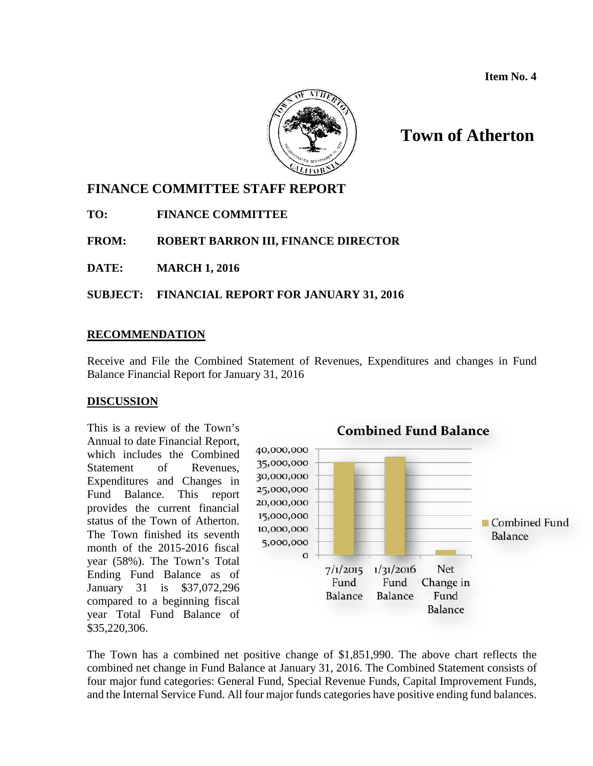

# **Town of Atherton**

# **FINANCE COMMITTEE STAFF REPORT**

**TO: FINANCE COMMITTEE**

**FROM: ROBERT BARRON III, FINANCE DIRECTOR**

**DATE: MARCH 1, 2016**

# **SUBJECT: FINANCIAL REPORT FOR JANUARY 31, 2016**

# **RECOMMENDATION**

Receive and File the Combined Statement of Revenues, Expenditures and changes in Fund Balance Financial Report for January 31, 2016

# **DISCUSSION**

This is a review of the Town's Annual to date Financial Report, which includes the Combined Statement of Revenues, Expenditures and Changes in Fund Balance. This report provides the current financial status of the Town of Atherton. The Town finished its seventh month of the 2015-2016 fiscal year (58%). The Town's Total Ending Fund Balance as of January 31 is \$37,072,296 compared to a beginning fiscal year Total Fund Balance of \$35,220,306.



The Town has a combined net positive change of \$1,851,990. The above chart reflects the combined net change in Fund Balance at January 31, 2016. The Combined Statement consists of four major fund categories: General Fund, Special Revenue Funds, Capital Improvement Funds, and the Internal Service Fund. All four major funds categories have positive ending fund balances.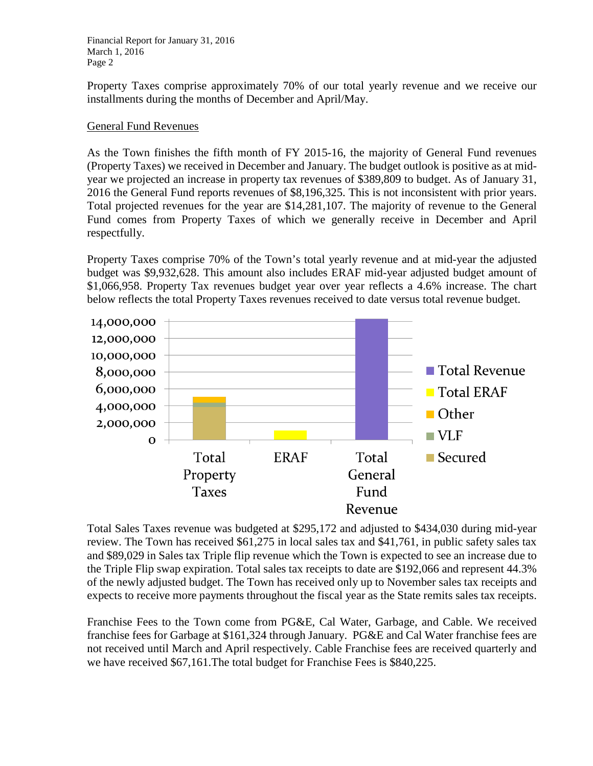Property Taxes comprise approximately 70% of our total yearly revenue and we receive our installments during the months of December and April/May.

# General Fund Revenues

As the Town finishes the fifth month of FY 2015-16, the majority of General Fund revenues (Property Taxes) we received in December and January. The budget outlook is positive as at midyear we projected an increase in property tax revenues of \$389,809 to budget. As of January 31, 2016 the General Fund reports revenues of \$8,196,325. This is not inconsistent with prior years. Total projected revenues for the year are \$14,281,107. The majority of revenue to the General Fund comes from Property Taxes of which we generally receive in December and April respectfully.

Property Taxes comprise 70% of the Town's total yearly revenue and at mid-year the adjusted budget was \$9,932,628. This amount also includes ERAF mid-year adjusted budget amount of \$1,066,958. Property Tax revenues budget year over year reflects a 4.6% increase. The chart below reflects the total Property Taxes revenues received to date versus total revenue budget.



Total Sales Taxes revenue was budgeted at \$295,172 and adjusted to \$434,030 during mid-year review. The Town has received \$61,275 in local sales tax and \$41,761, in public safety sales tax and \$89,029 in Sales tax Triple flip revenue which the Town is expected to see an increase due to the Triple Flip swap expiration. Total sales tax receipts to date are \$192,066 and represent 44.3% of the newly adjusted budget. The Town has received only up to November sales tax receipts and expects to receive more payments throughout the fiscal year as the State remits sales tax receipts.

Franchise Fees to the Town come from PG&E, Cal Water, Garbage, and Cable. We received franchise fees for Garbage at \$161,324 through January. PG&E and Cal Water franchise fees are not received until March and April respectively. Cable Franchise fees are received quarterly and we have received \$67,161.The total budget for Franchise Fees is \$840,225.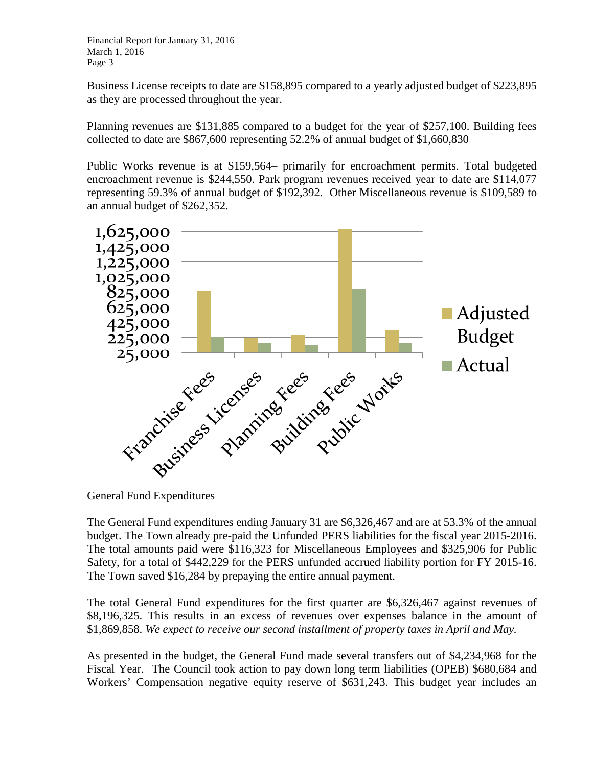Business License receipts to date are \$158,895 compared to a yearly adjusted budget of \$223,895 as they are processed throughout the year.

Planning revenues are \$131,885 compared to a budget for the year of \$257,100. Building fees collected to date are \$867,600 representing 52.2% of annual budget of \$1,660,830

Public Works revenue is at \$159,564– primarily for encroachment permits. Total budgeted encroachment revenue is \$244,550. Park program revenues received year to date are \$114,077 representing 59.3% of annual budget of \$192,392. Other Miscellaneous revenue is \$109,589 to an annual budget of \$262,352.



# General Fund Expenditures

The General Fund expenditures ending January 31 are \$6,326,467 and are at 53.3% of the annual budget. The Town already pre-paid the Unfunded PERS liabilities for the fiscal year 2015-2016. The total amounts paid were \$116,323 for Miscellaneous Employees and \$325,906 for Public Safety, for a total of \$442,229 for the PERS unfunded accrued liability portion for FY 2015-16. The Town saved \$16,284 by prepaying the entire annual payment.

The total General Fund expenditures for the first quarter are \$6,326,467 against revenues of \$8,196,325. This results in an excess of revenues over expenses balance in the amount of \$1,869,858. *We expect to receive our second installment of property taxes in April and May.*

As presented in the budget, the General Fund made several transfers out of \$4,234,968 for the Fiscal Year. The Council took action to pay down long term liabilities (OPEB) \$680,684 and Workers' Compensation negative equity reserve of \$631,243. This budget year includes an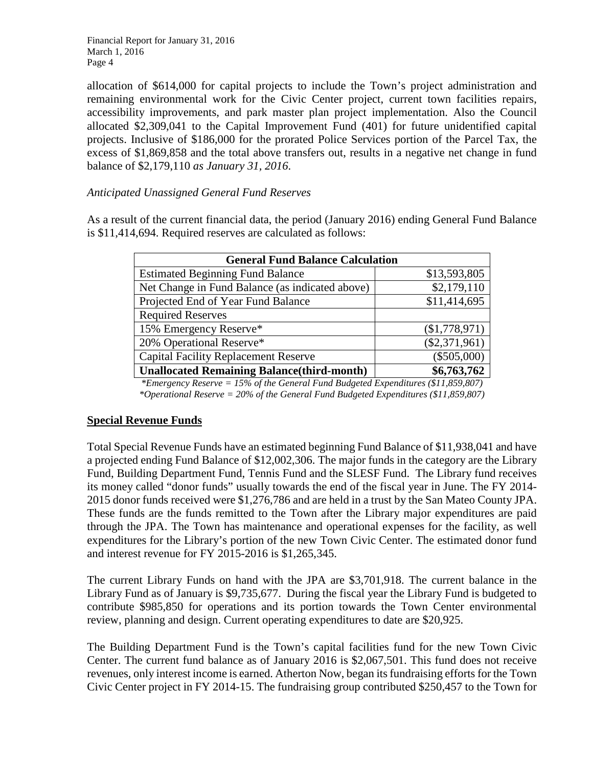allocation of \$614,000 for capital projects to include the Town's project administration and remaining environmental work for the Civic Center project, current town facilities repairs, accessibility improvements, and park master plan project implementation. Also the Council allocated \$2,309,041 to the Capital Improvement Fund (401) for future unidentified capital projects. Inclusive of \$186,000 for the prorated Police Services portion of the Parcel Tax, the excess of \$1,869,858 and the total above transfers out, results in a negative net change in fund balance of \$2,179,110 *as January 31, 2016*.

# *Anticipated Unassigned General Fund Reserves*

As a result of the current financial data, the period (January 2016) ending General Fund Balance is \$11,414,694. Required reserves are calculated as follows:

| <b>General Fund Balance Calculation</b>                 |                 |  |  |  |  |  |  |
|---------------------------------------------------------|-----------------|--|--|--|--|--|--|
| <b>Estimated Beginning Fund Balance</b>                 | \$13,593,805    |  |  |  |  |  |  |
| Net Change in Fund Balance (as indicated above)         | \$2,179,110     |  |  |  |  |  |  |
| Projected End of Year Fund Balance                      | \$11,414,695    |  |  |  |  |  |  |
| <b>Required Reserves</b>                                |                 |  |  |  |  |  |  |
| 15% Emergency Reserve*                                  | (\$1,778,971)   |  |  |  |  |  |  |
| 20% Operational Reserve*                                | $(\$2,371,961)$ |  |  |  |  |  |  |
| <b>Capital Facility Replacement Reserve</b>             | $(\$505,000)$   |  |  |  |  |  |  |
| <b>Unallocated Remaining Balance (third-month)</b><br>. | \$6,763,762     |  |  |  |  |  |  |

*\*Emergency Reserve = 15% of the General Fund Budgeted Expenditures (\$11,859,807) \*Operational Reserve = 20% of the General Fund Budgeted Expenditures (\$11,859,807)*

# **Special Revenue Funds**

Total Special Revenue Funds have an estimated beginning Fund Balance of \$11,938,041 and have a projected ending Fund Balance of \$12,002,306. The major funds in the category are the Library Fund, Building Department Fund, Tennis Fund and the SLESF Fund. The Library fund receives its money called "donor funds" usually towards the end of the fiscal year in June. The FY 2014- 2015 donor funds received were \$1,276,786 and are held in a trust by the San Mateo County JPA. These funds are the funds remitted to the Town after the Library major expenditures are paid through the JPA. The Town has maintenance and operational expenses for the facility, as well expenditures for the Library's portion of the new Town Civic Center. The estimated donor fund and interest revenue for FY 2015-2016 is \$1,265,345.

The current Library Funds on hand with the JPA are \$3,701,918. The current balance in the Library Fund as of January is \$9,735,677. During the fiscal year the Library Fund is budgeted to contribute \$985,850 for operations and its portion towards the Town Center environmental review, planning and design. Current operating expenditures to date are \$20,925.

The Building Department Fund is the Town's capital facilities fund for the new Town Civic Center. The current fund balance as of January 2016 is \$2,067,501. This fund does not receive revenues, only interest income is earned. Atherton Now, began its fundraising efforts for the Town Civic Center project in FY 2014-15. The fundraising group contributed \$250,457 to the Town for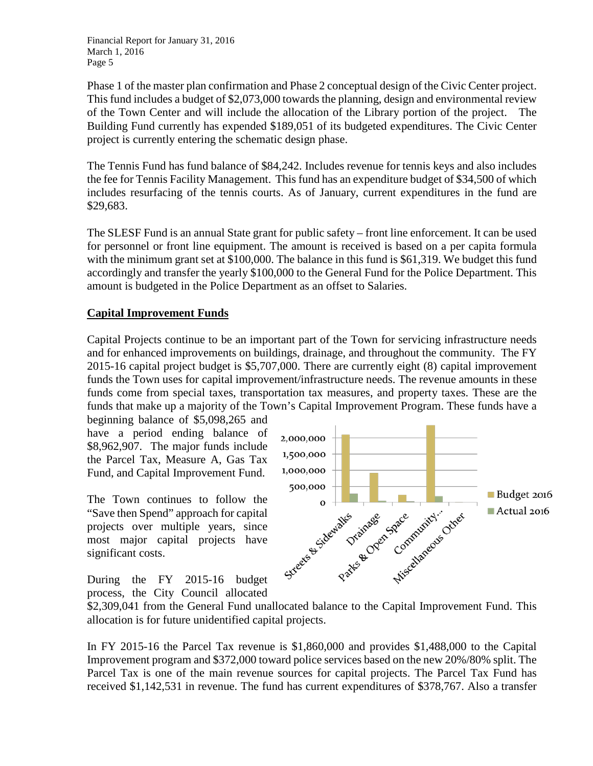Phase 1 of the master plan confirmation and Phase 2 conceptual design of the Civic Center project. This fund includes a budget of \$2,073,000 towards the planning, design and environmental review of the Town Center and will include the allocation of the Library portion of the project. The Building Fund currently has expended \$189,051 of its budgeted expenditures. The Civic Center project is currently entering the schematic design phase.

The Tennis Fund has fund balance of \$84,242. Includes revenue for tennis keys and also includes the fee for Tennis Facility Management. This fund has an expenditure budget of \$34,500 of which includes resurfacing of the tennis courts. As of January, current expenditures in the fund are \$29,683.

The SLESF Fund is an annual State grant for public safety – front line enforcement. It can be used for personnel or front line equipment. The amount is received is based on a per capita formula with the minimum grant set at \$100,000. The balance in this fund is \$61,319. We budget this fund accordingly and transfer the yearly \$100,000 to the General Fund for the Police Department. This amount is budgeted in the Police Department as an offset to Salaries.

# **Capital Improvement Funds**

Capital Projects continue to be an important part of the Town for servicing infrastructure needs and for enhanced improvements on buildings, drainage, and throughout the community. The FY 2015-16 capital project budget is \$5,707,000. There are currently eight (8) capital improvement funds the Town uses for capital improvement/infrastructure needs. The revenue amounts in these funds come from special taxes, transportation tax measures, and property taxes. These are the funds that make up a majority of the Town's Capital Improvement Program. These funds have a

beginning balance of \$5,098,265 and have a period ending balance of \$8,962,907. The major funds include the Parcel Tax, Measure A, Gas Tax Fund, and Capital Improvement Fund.

The Town continues to follow the "Save then Spend" approach for capital projects over multiple years, since most major capital projects have significant costs.

During the FY 2015-16 budget process, the City Council allocated



\$2,309,041 from the General Fund unallocated balance to the Capital Improvement Fund. This allocation is for future unidentified capital projects.

In FY 2015-16 the Parcel Tax revenue is \$1,860,000 and provides \$1,488,000 to the Capital Improvement program and \$372,000 toward police services based on the new 20%/80% split. The Parcel Tax is one of the main revenue sources for capital projects. The Parcel Tax Fund has received \$1,142,531 in revenue. The fund has current expenditures of \$378,767. Also a transfer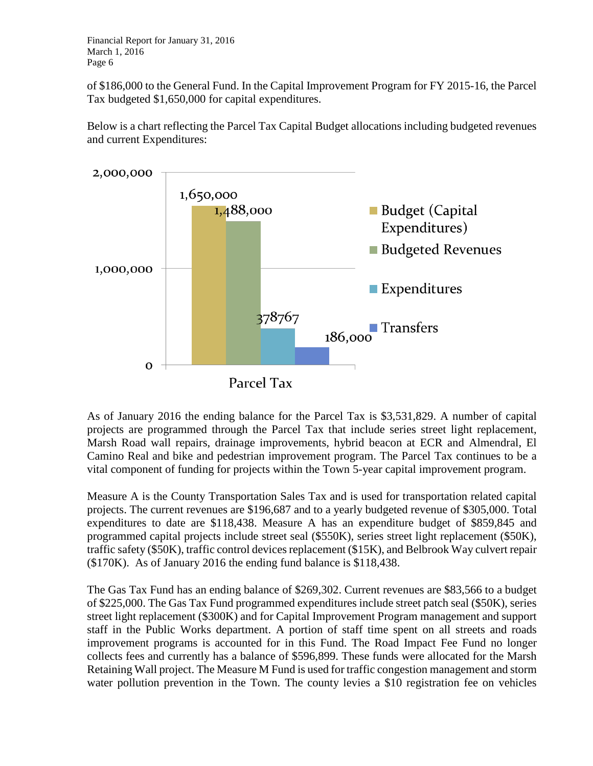of \$186,000 to the General Fund. In the Capital Improvement Program for FY 2015-16, the Parcel Tax budgeted \$1,650,000 for capital expenditures.

Below is a chart reflecting the Parcel Tax Capital Budget allocations including budgeted revenues and current Expenditures:



As of January 2016 the ending balance for the Parcel Tax is \$3,531,829. A number of capital projects are programmed through the Parcel Tax that include series street light replacement, Marsh Road wall repairs, drainage improvements, hybrid beacon at ECR and Almendral, El Camino Real and bike and pedestrian improvement program. The Parcel Tax continues to be a vital component of funding for projects within the Town 5-year capital improvement program.

Measure A is the County Transportation Sales Tax and is used for transportation related capital projects. The current revenues are \$196,687 and to a yearly budgeted revenue of \$305,000. Total expenditures to date are \$118,438. Measure A has an expenditure budget of \$859,845 and programmed capital projects include street seal (\$550K), series street light replacement (\$50K), traffic safety (\$50K), traffic control devices replacement (\$15K), and Belbrook Way culvert repair (\$170K). As of January 2016 the ending fund balance is \$118,438.

The Gas Tax Fund has an ending balance of \$269,302. Current revenues are \$83,566 to a budget of \$225,000. The Gas Tax Fund programmed expenditures include street patch seal (\$50K), series street light replacement (\$300K) and for Capital Improvement Program management and support staff in the Public Works department. A portion of staff time spent on all streets and roads improvement programs is accounted for in this Fund. The Road Impact Fee Fund no longer collects fees and currently has a balance of \$596,899. These funds were allocated for the Marsh Retaining Wall project. The Measure M Fund is used for traffic congestion management and storm water pollution prevention in the Town. The county levies a \$10 registration fee on vehicles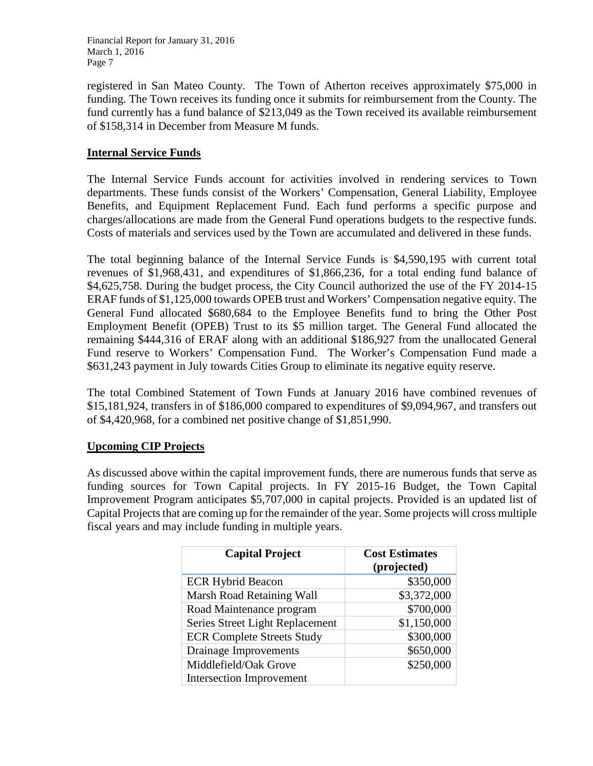registered in San Mateo County. The Town of Atherton receives approximately \$75,000 in funding. The Town receives its funding once it submits for reimbursement from the County. The fund currently has a fund balance of \$213,049 as the Town received its available reimbursement of \$158,314 in December from Measure M funds.

# **Internal Service Funds**

The Internal Service Funds account for activities involved in rendering services to Town departments. These funds consist of the Workers' Compensation, General Liability, Employee Benefits, and Equipment Replacement Fund. Each fund performs a specific purpose and charges/allocations are made from the General Fund operations budgets to the respective funds. Costs of materials and services used by the Town are accumulated and delivered in these funds.

The total beginning balance of the Internal Service Funds is \$4,590,195 with current total revenues of \$1,968,431, and expenditures of \$1,866,236, for a total ending fund balance of \$4,625,758. During the budget process, the City Council authorized the use of the FY 2014-15 ERAF funds of \$1,125,000 towards OPEB trust and Workers' Compensation negative equity. The General Fund allocated \$680,684 to the Employee Benefits fund to bring the Other Post Employment Benefit (OPEB) Trust to its \$5 million target. The General Fund allocated the remaining \$444,316 of ERAF along with an additional \$186,927 from the unallocated General Fund reserve to Workers' Compensation Fund. The Worker's Compensation Fund made a \$631,243 payment in July towards Cities Group to eliminate its negative equity reserve.

The total Combined Statement of Town Funds at January 2016 have combined revenues of \$15,181,924, transfers in of \$186,000 compared to expenditures of \$9,094,967, and transfers out of \$4,420,968, for a combined net positive change of \$1,851,990.

# **Upcoming CIP Projects**

As discussed above within the capital improvement funds, there are numerous funds that serve as funding sources for Town Capital projects. In FY 2015-16 Budget, the Town Capital Improvement Program anticipates \$5,707,000 in capital projects. Provided is an updated list of Capital Projects that are coming up for the remainder of the year. Some projects will cross multiple fiscal years and may include funding in multiple years.

| <b>Capital Project</b>            | <b>Cost Estimates</b><br>(projected) |
|-----------------------------------|--------------------------------------|
| <b>ECR Hybrid Beacon</b>          | \$350,000                            |
| Marsh Road Retaining Wall         | \$3,372,000                          |
| Road Maintenance program          | \$700,000                            |
| Series Street Light Replacement   | \$1,150,000                          |
| <b>ECR Complete Streets Study</b> | \$300,000                            |
| Drainage Improvements             | \$650,000                            |
| Middlefield/Oak Grove             | \$250,000                            |
| <b>Intersection Improvement</b>   |                                      |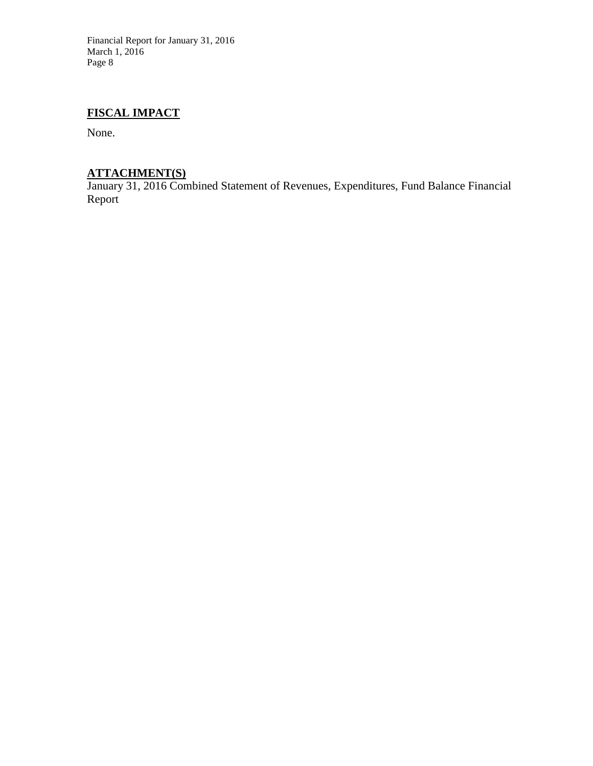# **FISCAL IMPACT**

None.

# **ATTACHMENT(S)**

January 31, 2016 Combined Statement of Revenues, Expenditures, Fund Balance Financial Report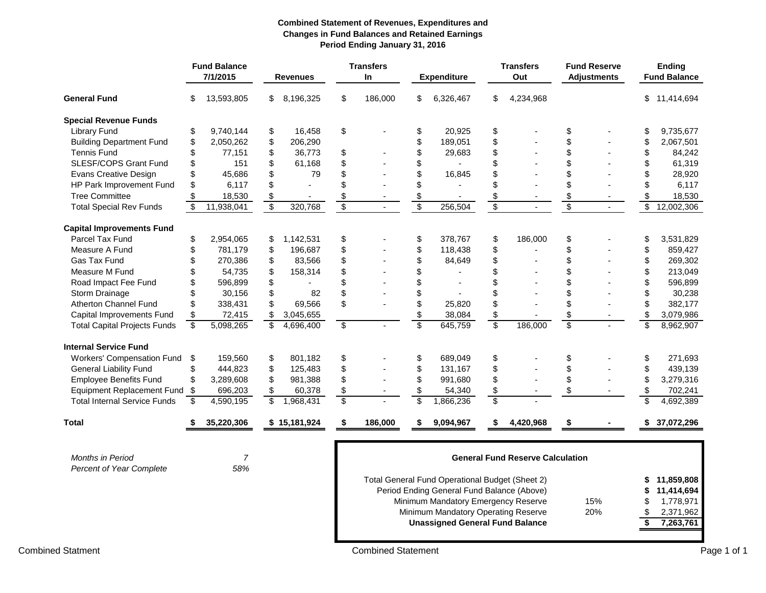#### **Combined Statement of Revenues, Expenditures and Changes in Fund Balances and Retained Earnings Period Ending January 31, 2016**

|                                     |    | <b>Fund Balance</b><br>7/1/2015 |                                     | <b>Revenues</b> |                 | <b>Transfers</b><br><b>In</b> |                          | <b>Expenditure</b>                              |                 | <b>Transfers</b><br>Out                 |                 | <b>Fund Reserve</b><br><b>Adjustments</b> |                         | <b>Ending</b><br><b>Fund Balance</b> |
|-------------------------------------|----|---------------------------------|-------------------------------------|-----------------|-----------------|-------------------------------|--------------------------|-------------------------------------------------|-----------------|-----------------------------------------|-----------------|-------------------------------------------|-------------------------|--------------------------------------|
| <b>General Fund</b>                 | \$ | 13,593,805                      | \$                                  | 8,196,325       | \$              | 186,000                       | \$                       | 6,326,467                                       | \$              | 4,234,968                               |                 |                                           | \$                      | 11,414,694                           |
| <b>Special Revenue Funds</b>        |    |                                 |                                     |                 |                 |                               |                          |                                                 |                 |                                         |                 |                                           |                         |                                      |
| <b>Library Fund</b>                 | \$ | 9,740,144                       | \$                                  | 16,458          | \$              |                               | \$                       | 20,925                                          | \$              |                                         | \$              |                                           | \$                      | 9,735,677                            |
| <b>Building Department Fund</b>     | \$ | 2,050,262                       | \$                                  | 206,290         |                 |                               | \$                       | 189,051                                         | \$              |                                         | \$              |                                           | \$                      | 2,067,501                            |
| <b>Tennis Fund</b>                  | \$ | 77,151                          | \$                                  | 36,773          | \$              |                               | \$                       | 29,683                                          | \$              |                                         | \$              |                                           | \$                      | 84,242                               |
| SLESF/COPS Grant Fund               | \$ | 151                             | \$                                  | 61,168          | \$              |                               | \$                       |                                                 | \$              |                                         | \$              |                                           | \$                      | 61,319                               |
| Evans Creative Design               | \$ | 45,686                          | \$                                  | 79              | \$              |                               | \$                       | 16,845                                          | \$              |                                         | \$              |                                           | \$                      | 28,920                               |
| HP Park Improvement Fund            | \$ | 6,117                           | \$                                  |                 | \$              |                               | \$                       |                                                 | \$              |                                         | \$              |                                           | \$                      | 6,117                                |
| <b>Tree Committee</b>               |    | 18,530                          | \$                                  |                 | \$              |                               | \$                       |                                                 | \$              |                                         | \$              |                                           | \$                      | 18,530                               |
| <b>Total Special Rev Funds</b>      | \$ | 11,938,041                      | $\overline{\mathcal{E}}$            | 320,768         | $\overline{\$}$ | $\mathbf{r}$                  | $\overline{\mathcal{E}}$ | 256,504                                         | $\overline{\$}$ |                                         | $\overline{\$}$ | $\sim$                                    | $\overline{\mathbf{3}}$ | 12,002,306                           |
| <b>Capital Improvements Fund</b>    |    |                                 |                                     |                 |                 |                               |                          |                                                 |                 |                                         |                 |                                           |                         |                                      |
| Parcel Tax Fund                     | \$ | 2,954,065                       | \$                                  | 1,142,531       | \$              |                               | \$                       | 378,767                                         | \$              | 186,000                                 | \$              |                                           | \$                      | 3,531,829                            |
| Measure A Fund                      | \$ | 781,179                         | \$                                  | 196,687         | \$              |                               | \$                       | 118,438                                         | \$              |                                         | \$              |                                           | \$                      | 859,427                              |
| Gas Tax Fund                        | \$ | 270,386                         | \$                                  | 83,566          | \$              |                               | \$                       | 84,649                                          | \$              |                                         | \$              |                                           | \$                      | 269,302                              |
| Measure M Fund                      |    | 54,735                          | \$                                  | 158,314         | \$              |                               | \$                       |                                                 | \$              |                                         | \$              |                                           | \$                      | 213,049                              |
| Road Impact Fee Fund                | \$ | 596,899                         | \$                                  |                 | \$              |                               | \$                       |                                                 | \$              |                                         | \$              |                                           | \$                      | 596,899                              |
| Storm Drainage                      | \$ | 30,156                          | \$                                  | 82              | \$              |                               | \$                       |                                                 | \$              |                                         | \$              |                                           | \$                      | 30,238                               |
| Atherton Channel Fund               | \$ | 338,431                         | \$                                  | 69,566          | \$              |                               | \$                       | 25,820                                          | \$              |                                         | \$              |                                           | \$                      | 382,177                              |
| Capital Improvements Fund           | \$ | 72,415                          | \$                                  | 3,045,655       |                 |                               | \$                       | 38,084                                          | \$              |                                         | \$              |                                           | \$                      | 3,079,986                            |
| <b>Total Capital Projects Funds</b> | \$ | 5,098,265                       | \$                                  | 4,696,400       | $\overline{\$}$ |                               | $\overline{\$}$          | 645,759                                         | $\overline{\$}$ | 186,000                                 | $\overline{\$}$ |                                           | $\overline{\$}$         | 8,962,907                            |
| <b>Internal Service Fund</b>        |    |                                 |                                     |                 |                 |                               |                          |                                                 |                 |                                         |                 |                                           |                         |                                      |
| <b>Workers' Compensation Fund</b>   | \$ | 159,560                         | \$                                  | 801,182         | \$              |                               | \$                       | 689,049                                         | \$              |                                         | \$              |                                           | \$                      | 271,693                              |
| <b>General Liability Fund</b>       | \$ | 444,823                         | \$                                  | 125,483         | \$              |                               | \$                       | 131,167                                         | \$              |                                         | \$              |                                           | \$                      | 439,139                              |
| <b>Employee Benefits Fund</b>       | \$ | 3,289,608                       | \$                                  | 981,388         | \$              |                               | \$                       | 991,680                                         | \$              |                                         | \$              |                                           | \$                      | 3,279,316                            |
| Equipment Replacement Fund \$       |    | 696,203                         | \$                                  | 60,378          | \$              |                               | \$                       | 54,340                                          | \$              |                                         | \$              |                                           | \$                      | 702,241                              |
| <b>Total Internal Service Funds</b> | \$ | 4,590,195                       | $\overline{\$}$                     | 1,968,431       | $\overline{\$}$ |                               | \$                       | 1,866,236                                       | \$              |                                         |                 |                                           | \$                      | 4,692,389                            |
| Total                               | S. | 35,220,306                      |                                     | \$15,181,924    | -S              | 186,000                       | \$                       | 9,094,967                                       | \$              | 4,420,968                               |                 |                                           |                         | 37,072,296                           |
|                                     |    |                                 |                                     |                 |                 |                               |                          |                                                 |                 |                                         |                 |                                           |                         |                                      |
| <b>Months in Period</b>             |    | $\overline{7}$                  |                                     |                 |                 |                               |                          |                                                 |                 | <b>General Fund Reserve Calculation</b> |                 |                                           |                         |                                      |
| <b>Percent of Year Complete</b>     |    | 58%                             |                                     |                 |                 |                               |                          |                                                 |                 |                                         |                 |                                           |                         |                                      |
|                                     |    |                                 |                                     |                 |                 |                               |                          | Total General Fund Operational Budget (Sheet 2) |                 |                                         |                 |                                           |                         | 11,859,808                           |
|                                     |    |                                 |                                     |                 |                 |                               |                          | Period Ending General Fund Balance (Above)      |                 |                                         |                 |                                           |                         | 11,414,694                           |
|                                     |    |                                 |                                     |                 |                 |                               |                          | Minimum Mandatory Emergency Reserve             |                 |                                         |                 | 15%                                       |                         | 1,778,971                            |
|                                     |    |                                 | Minimum Mandatory Operating Reserve |                 |                 |                               |                          | 20%                                             | \$              | 2,371,962                               |                 |                                           |                         |                                      |

**Unassigned General Fund Balance**

**\$ 7,263,761**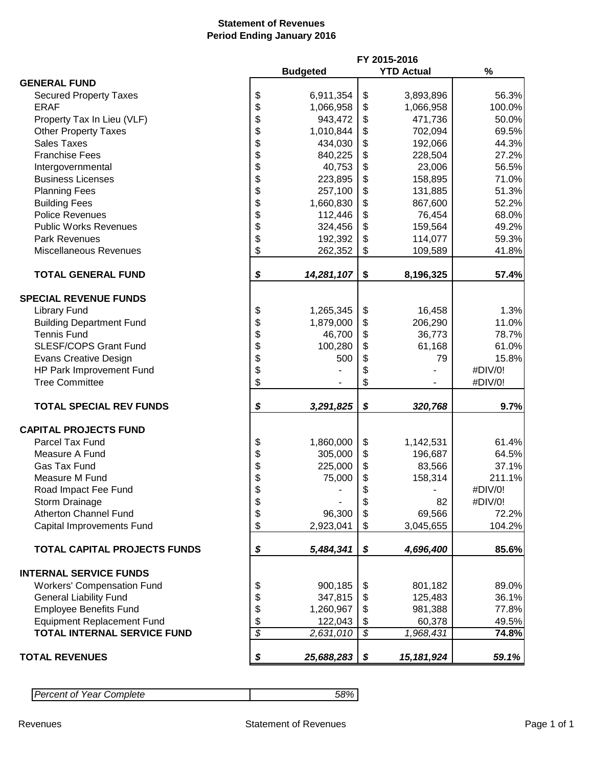# **Statement of Revenues Period Ending January 2016**

|                                     | FY 2015-2016    |                 |                          |                   |         |
|-------------------------------------|-----------------|-----------------|--------------------------|-------------------|---------|
|                                     |                 | <b>Budgeted</b> |                          | <b>YTD Actual</b> | %       |
| <b>GENERAL FUND</b>                 |                 |                 |                          |                   |         |
| <b>Secured Property Taxes</b>       | \$              | 6,911,354       | \$                       | 3,893,896         | 56.3%   |
| <b>ERAF</b>                         | \$              | 1,066,958       | \$                       | 1,066,958         | 100.0%  |
| Property Tax In Lieu (VLF)          | \$              | 943,472         | \$                       | 471,736           | 50.0%   |
| <b>Other Property Taxes</b>         | \$              | 1,010,844       | \$                       | 702,094           | 69.5%   |
| <b>Sales Taxes</b>                  | \$              | 434,030         | \$                       | 192,066           | 44.3%   |
| <b>Franchise Fees</b>               | \$              | 840,225         | \$                       | 228,504           | 27.2%   |
| Intergovernmental                   | \$              | 40,753          | \$                       | 23,006            | 56.5%   |
| <b>Business Licenses</b>            | \$              | 223,895         | \$                       | 158,895           | 71.0%   |
| <b>Planning Fees</b>                | \$              | 257,100         | \$                       | 131,885           | 51.3%   |
| <b>Building Fees</b>                | \$              | 1,660,830       | \$                       | 867,600           | 52.2%   |
| <b>Police Revenues</b>              | \$              | 112,446         | \$                       | 76,454            | 68.0%   |
| <b>Public Works Revenues</b>        | \$              | 324,456         | \$                       | 159,564           | 49.2%   |
| <b>Park Revenues</b>                | \$              | 192,392         | \$                       | 114,077           | 59.3%   |
| Miscellaneous Revenues              | \$              | 262,352         | \$                       | 109,589           | 41.8%   |
|                                     |                 |                 |                          |                   |         |
| <b>TOTAL GENERAL FUND</b>           | \$              | 14,281,107      | \$                       | 8,196,325         | 57.4%   |
|                                     |                 |                 |                          |                   |         |
| <b>SPECIAL REVENUE FUNDS</b>        |                 |                 |                          |                   |         |
| <b>Library Fund</b>                 | \$              | 1,265,345       | \$                       | 16,458            | 1.3%    |
| <b>Building Department Fund</b>     | \$              | 1,879,000       | \$                       | 206,290           | 11.0%   |
| <b>Tennis Fund</b>                  | \$              | 46,700          | \$                       | 36,773            | 78.7%   |
| <b>SLESF/COPS Grant Fund</b>        | \$              | 100,280         | \$                       | 61,168            | 61.0%   |
| <b>Evans Creative Design</b>        | \$              | 500             | \$                       | 79                | 15.8%   |
| HP Park Improvement Fund            | \$              |                 | \$                       |                   | #DIV/0! |
| <b>Tree Committee</b>               | \$              |                 | \$                       |                   | #DIV/0! |
| <b>TOTAL SPECIAL REV FUNDS</b>      | \$              | 3,291,825       | \$                       | 320,768           | 9.7%    |
| <b>CAPITAL PROJECTS FUND</b>        |                 |                 |                          |                   |         |
| Parcel Tax Fund                     | \$              | 1,860,000       | \$                       | 1,142,531         | 61.4%   |
| Measure A Fund                      | \$              | 305,000         | \$                       | 196,687           | 64.5%   |
| <b>Gas Tax Fund</b>                 | \$              | 225,000         | \$                       | 83,566            | 37.1%   |
| Measure M Fund                      | \$              | 75,000          | \$                       | 158,314           | 211.1%  |
| Road Impact Fee Fund                |                 |                 | \$                       |                   | #DIV/0! |
| Storm Drainage                      | \$              |                 | \$                       | 82                | #DIV/0! |
| <b>Atherton Channel Fund</b>        | \$              | 96,300          | \$                       | 69,566            | 72.2%   |
| Capital Improvements Fund           | \$              | 2,923,041       | \$                       | 3,045,655         | 104.2%  |
|                                     |                 |                 |                          |                   |         |
| <b>TOTAL CAPITAL PROJECTS FUNDS</b> | \$              | 5,484,341       | \$                       | 4,696,400         | 85.6%   |
| <b>INTERNAL SERVICE FUNDS</b>       |                 |                 |                          |                   |         |
|                                     |                 |                 |                          |                   |         |
| <b>Workers' Compensation Fund</b>   |                 | 900,185         | \$                       | 801,182           | 89.0%   |
| <b>General Liability Fund</b>       | \$              | 347,815         | \$                       | 125,483           | 36.1%   |
| <b>Employee Benefits Fund</b>       | \$              | 1,260,967       | \$                       | 981,388           | 77.8%   |
| <b>Equipment Replacement Fund</b>   | \$              | 122,043         | \$                       | 60,378            | 49.5%   |
| <b>TOTAL INTERNAL SERVICE FUND</b>  | $\overline{\$}$ | 2,631,010       | $\overline{\mathcal{S}}$ | 1,968,431         | 74.8%   |
| <b>TOTAL REVENUES</b>               | \$              | 25,688,283      | \$                       | 15, 181, 924      | 59.1%   |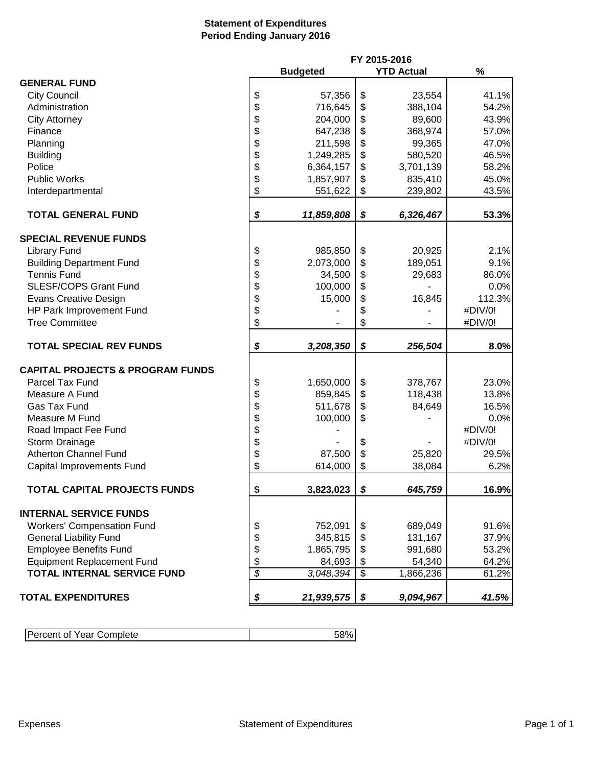# **Statement of Expenditures Period Ending January 2016**

|                                             |               | FY 2015-2016    |                 |                   |         |
|---------------------------------------------|---------------|-----------------|-----------------|-------------------|---------|
|                                             |               | <b>Budgeted</b> |                 | <b>YTD Actual</b> | $\%$    |
| <b>GENERAL FUND</b>                         |               |                 |                 |                   |         |
| <b>City Council</b>                         | \$            | 57,356          | \$              | 23,554            | 41.1%   |
| Administration                              | \$            | 716,645         | \$              | 388,104           | 54.2%   |
| <b>City Attorney</b>                        | \$            | 204,000         | \$              | 89,600            | 43.9%   |
| Finance                                     | \$            | 647,238         | \$              | 368,974           | 57.0%   |
| Planning                                    | \$            | 211,598         | \$              | 99,365            | 47.0%   |
| <b>Building</b>                             | \$            | 1,249,285       | \$              | 580,520           | 46.5%   |
| Police                                      | \$            | 6,364,157       | \$              | 3,701,139         | 58.2%   |
| <b>Public Works</b>                         | \$            | 1,857,907       | \$              | 835,410           | 45.0%   |
| Interdepartmental                           | \$            | 551,622         | \$              | 239,802           | 43.5%   |
|                                             |               |                 |                 |                   |         |
| <b>TOTAL GENERAL FUND</b>                   | \$            | 11,859,808      | \$              | 6,326,467         | 53.3%   |
| <b>SPECIAL REVENUE FUNDS</b>                |               |                 |                 |                   |         |
| <b>Library Fund</b>                         | \$            | 985,850         | \$              | 20,925            | 2.1%    |
| <b>Building Department Fund</b>             | \$            | 2,073,000       | \$              | 189,051           | 9.1%    |
| <b>Tennis Fund</b>                          | \$            | 34,500          | \$              | 29,683            | 86.0%   |
| <b>SLESF/COPS Grant Fund</b>                | \$            | 100,000         | \$              |                   | 0.0%    |
| <b>Evans Creative Design</b>                | \$            | 15,000          | \$              | 16,845            | 112.3%  |
| HP Park Improvement Fund                    | \$            |                 | \$              |                   | #DIV/0! |
| <b>Tree Committee</b>                       | \$            |                 | \$              |                   | #DIV/0! |
|                                             |               |                 |                 |                   |         |
| <b>TOTAL SPECIAL REV FUNDS</b>              | \$            | 3,208,350       | \$              | 256,504           | 8.0%    |
| <b>CAPITAL PROJECTS &amp; PROGRAM FUNDS</b> |               |                 |                 |                   |         |
| Parcel Tax Fund                             | \$            | 1,650,000       | \$              | 378,767           | 23.0%   |
| Measure A Fund                              | \$            | 859,845         | \$              | 118,438           | 13.8%   |
| Gas Tax Fund                                | \$            | 511,678         | \$              | 84,649            | 16.5%   |
| Measure M Fund                              | \$            | 100,000         | \$              |                   | 0.0%    |
| Road Impact Fee Fund                        |               |                 |                 |                   | #DIV/0! |
| Storm Drainage                              | \$\$          |                 | \$              |                   | #DIV/0! |
| <b>Atherton Channel Fund</b>                |               | 87,500          | \$              | 25,820            | 29.5%   |
| Capital Improvements Fund                   | \$            | 614,000         | \$              | 38,084            | 6.2%    |
|                                             |               |                 |                 |                   |         |
| <b>TOTAL CAPITAL PROJECTS FUNDS</b>         | \$            | 3,823,023       | \$              | 645,759           | 16.9%   |
| <b>INTERNAL SERVICE FUNDS</b>               |               |                 |                 |                   |         |
| <b>Workers' Compensation Fund</b>           | \$            | 752,091         | \$              | 689,049           | 91.6%   |
| <b>General Liability Fund</b>               | \$            | 345,815         | \$              | 131,167           | 37.9%   |
| <b>Employee Benefits Fund</b>               | \$            | 1,865,795       | \$              | 991,680           | 53.2%   |
| <b>Equipment Replacement Fund</b>           | $\frac{1}{2}$ | 84,693          | \$              | 54,340            | 64.2%   |
| <b>TOTAL INTERNAL SERVICE FUND</b>          | \$            | 3,048,394       | $\overline{\$}$ | 1,866,236         | 61.2%   |
|                                             |               |                 |                 |                   |         |
| <b>TOTAL EXPENDITURES</b>                   | \$            | 21,939,575      | \$              | 9,094,967         | 41.5%   |

| Percent of<br>Year Complete | co. |
|-----------------------------|-----|
|                             |     |